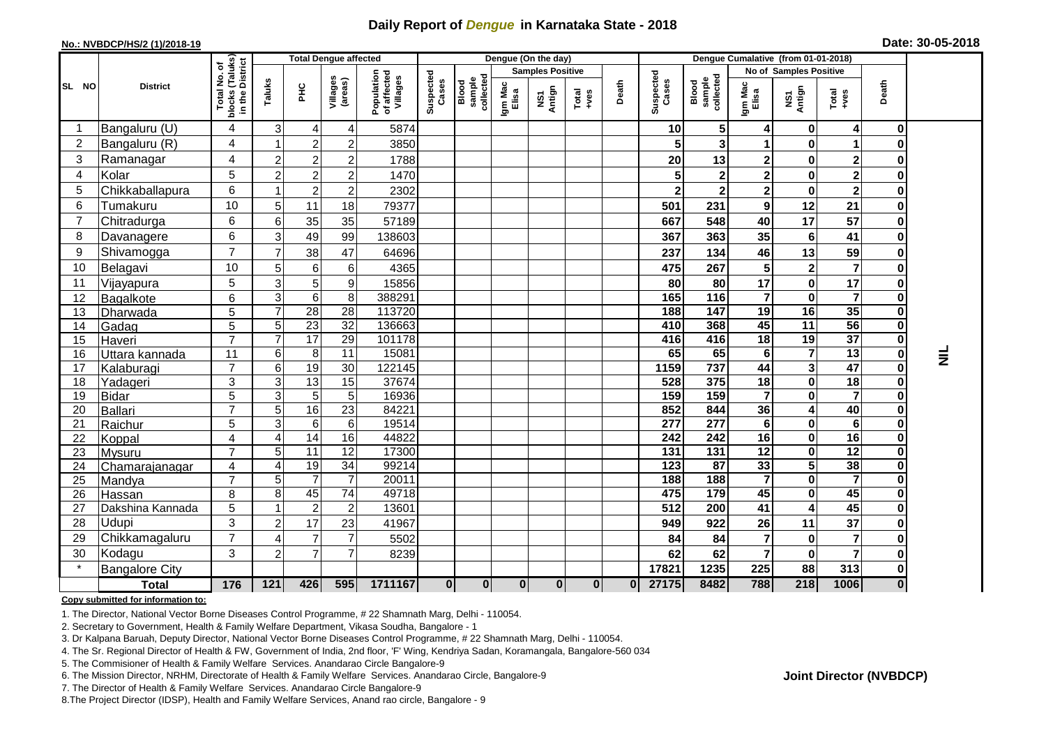## **Daily Report of** *Dengue* **in Karnataka State - 2018**

## **No.: NVBDCP/HS/2 (1)/2018-19 Date: 30-05-2018**

|                | <b>District</b>           |                                                              | <b>Total Dengue affected</b>     |                |                                   |                                       |                    |                              |                         | Dengue (On the day) |               |              |                         |                              |                        |                             |                         |                         |                 |
|----------------|---------------------------|--------------------------------------------------------------|----------------------------------|----------------|-----------------------------------|---------------------------------------|--------------------|------------------------------|-------------------------|---------------------|---------------|--------------|-------------------------|------------------------------|------------------------|-----------------------------|-------------------------|-------------------------|-----------------|
|                |                           |                                                              |                                  |                |                                   | Population<br>of affected<br>Villages |                    | Blood<br>sample<br>collected | <b>Samples Positive</b> |                     |               |              |                         |                              | No of Samples Positive |                             |                         |                         |                 |
| SL NO          |                           | Total No. of<br>blocks (Taluks)<br>in the District<br>blocks | Taluks                           | 옾              | Villages<br>(areas)               |                                       | Suspected<br>Cases |                              | Igm Mac<br>Elisa        | Antign<br>Σñ        | Total<br>+ves | Death        | Suspected<br>Cases      | collected<br>sample<br>Blood | Igm Mac<br>Elisa       | NS1<br>Antign               | Total<br>+ves           | Death                   |                 |
|                | Bangaluru (U)             | 4                                                            | $\mathbf{3}$                     | 4              | 4                                 | 5874                                  |                    |                              |                         |                     |               |              | 10 <sup>1</sup>         | 5                            | 4                      | $\bf{0}$                    | $\overline{4}$          | 0                       |                 |
| $\overline{2}$ | Bangaluru (R)             | $\overline{\mathbf{4}}$                                      |                                  | $\overline{c}$ | $\overline{2}$                    | 3850                                  |                    |                              |                         |                     |               |              | 5                       | 3                            | $\mathbf 1$            | $\bf{0}$                    |                         | 0                       |                 |
| 3              | Ramanagar                 | $\overline{\mathbf{4}}$                                      | $\overline{c}$                   | $\overline{2}$ | 2                                 | 1788                                  |                    |                              |                         |                     |               |              | 20                      | 13                           | $\mathbf 2$            | $\mathbf 0$                 | $\mathbf 2$             |                         |                 |
| 4              | Kolar                     | 5                                                            | $\overline{2}$                   | $\overline{c}$ | 2                                 | 1470                                  |                    |                              |                         |                     |               |              | 5 <sup>1</sup>          | $\mathbf 2$                  | $\mathbf 2$            | $\mathbf 0$                 | $\overline{2}$          | 0                       |                 |
| 5              | Chikkaballapura           | $\overline{6}$                                               |                                  | $\overline{c}$ | $\overline{2}$                    | 2302                                  |                    |                              |                         |                     |               |              | $\overline{\mathbf{2}}$ | $\overline{\mathbf{2}}$      | $\mathbf{2}$           | $\mathbf{0}$                | $\overline{\mathbf{2}}$ | 0                       |                 |
| 6              | Tumakuru                  | 10                                                           | 5 <sub>5</sub>                   | 11             | 18                                | 79377                                 |                    |                              |                         |                     |               |              | 501                     | 231                          | $\boldsymbol{9}$       | 12                          | 21                      | 0                       |                 |
| 7              | Chitradurga               | 6                                                            | 6                                | 35             | 35                                | 57189                                 |                    |                              |                         |                     |               |              | 667                     | 548                          | 40                     | 17                          | 57                      | 0                       |                 |
| 8              | Davanagere                | 6                                                            | $\overline{3}$                   | 49             | 99                                | 138603                                |                    |                              |                         |                     |               |              | 367                     | 363                          | 35                     | 6                           | 41                      | 0                       |                 |
| 9              | Shivamogga                | $\overline{7}$                                               | 7                                | 38             | 47                                | 64696                                 |                    |                              |                         |                     |               |              | 237                     | 134                          | 46                     | 13                          | 59                      | 0                       |                 |
| 10             | Belagavi                  | 10                                                           | $\overline{5}$                   | 6              | 6                                 | 4365                                  |                    |                              |                         |                     |               |              | 475                     | 267                          | 5                      | $\mathbf{2}$                | $\overline{7}$          | 0                       |                 |
| 11             | Vijayapura                | 5                                                            | $\overline{3}$                   | 5              | 9                                 | 15856                                 |                    |                              |                         |                     |               |              | 80                      | 80                           | 17                     | $\mathbf{0}$                | 17                      | 0                       |                 |
| 12             | Bagalkote                 | 6                                                            | 3 <sup>1</sup>                   | 6              | 8                                 | 388291                                |                    |                              |                         |                     |               |              | 165                     | 116                          | $\overline{7}$         | $\mathbf{0}$                | $\overline{7}$          | 0                       |                 |
| 13             | Dharwada                  | 5                                                            | $\overline{7}$                   | 28             | 28                                | 113720                                |                    |                              |                         |                     |               |              | 188                     | 147                          | 19                     | 16                          | 35                      | 0                       |                 |
| 14             | Gadag                     | 5                                                            | 5 <sup>1</sup>                   | 23             | 32                                | 136663                                |                    |                              |                         |                     |               |              | 410                     | 368                          | 45                     | 11                          | 56                      | 0                       |                 |
| 15             | Haveri                    | $\overline{7}$                                               | $\overline{7}$                   | 17             | 29                                | 101178                                |                    |                              |                         |                     |               |              | 416                     | 416                          | 18                     | 19                          | 37                      | 0                       |                 |
| 16             | Uttara kannada            | 11                                                           | $6 \mid$                         | 8              | 11                                | 15081                                 |                    |                              |                         |                     |               |              | 65                      | 65                           | 6                      | $\overline{7}$              | 13                      | $\pmb{0}$               | $\bar{\bar{z}}$ |
| 17             | Kalaburagi                | $\overline{7}$                                               | 6                                | 19             | 30                                | 122145                                |                    |                              |                         |                     |               |              | 1159                    | 737                          | 44                     | 3                           | 47                      | 0                       |                 |
| 18             | Yadageri                  | 3                                                            | $\overline{3}$                   | 13             | $\overline{15}$                   | 37674                                 |                    |                              |                         |                     |               |              | 528                     | 375                          | 18                     | $\mathbf{0}$                | $\overline{18}$         | $\mathbf 0$             |                 |
| 19             | <b>Bidar</b>              | 5                                                            | 3 <sup>1</sup>                   | 5              | $5\overline{)}$                   | 16936                                 |                    |                              |                         |                     |               |              | 159                     | 159                          | $\overline{7}$         | 0                           | $\overline{7}$          | 0                       |                 |
| 20             | Ballari                   | $\overline{7}$                                               | $\overline{5}$                   | 16             | $\overline{23}$                   | 84221                                 |                    |                              |                         |                     |               |              | 852                     | 844                          | 36                     | 4                           | 40                      | 0                       |                 |
| 21             | Raichur                   | 5                                                            | $\overline{3}$                   | 6              | 6                                 | 19514                                 |                    |                              |                         |                     |               |              | 277                     | $\overline{277}$             | $\bf 6$                | 0                           | 6                       | 0                       |                 |
| 22             | Koppal                    | $\overline{\mathbf{4}}$                                      | 4                                | 14             | 16                                | 44822                                 |                    |                              |                         |                     |               |              | 242                     | 242                          | 16                     | $\mathbf 0$                 | 16                      | 0                       |                 |
| 23             | Mysuru                    | $\overline{7}$                                               | 5 <sup>1</sup>                   | 11             | 12                                | 17300                                 |                    |                              |                         |                     |               |              | 131                     | 131                          | 12                     | $\mathbf 0$                 | 12                      | 0                       |                 |
| 24             | Chamarajanagar            | $\overline{\mathbf{4}}$                                      | $\vert$                          | 19             | $\overline{34}$<br>$\overline{7}$ | 99214                                 |                    |                              |                         |                     |               |              | 123                     | $\overline{87}$              | 33<br>$\overline{7}$   | 5                           | 38<br>$\overline{7}$    | $\mathbf 0$             |                 |
| 25             | Mandya                    | $\overline{7}$                                               | 5 <sub>5</sub><br>8 <sup>1</sup> | 45             | $\overline{74}$                   | 20011<br>49718                        |                    |                              |                         |                     |               |              | 188<br>475              | 188<br>$\frac{1}{179}$       | 45                     | $\mathbf 0$<br>$\mathbf{0}$ | 45                      | 0<br>0                  |                 |
| 26             | Hassan                    | 8<br>5                                                       |                                  | $\overline{c}$ | $\overline{2}$                    | 13601                                 |                    |                              |                         |                     |               |              | $\overline{512}$        | 200                          | $\overline{41}$        | 4                           | 45                      | 0                       |                 |
| 27<br>28       | Dakshina Kannada<br>Udupi | 3                                                            | $\overline{2}$                   | 17             | 23                                | 41967                                 |                    |                              |                         |                     |               |              | 949                     | 922                          | 26                     | 11                          | 37                      | 0                       |                 |
| 29             | Chikkamagaluru            | $\overline{7}$                                               |                                  | 7              | $\overline{7}$                    | 5502                                  |                    |                              |                         |                     |               |              | 84                      | 84                           | $\overline{7}$         | $\bf{0}$                    | $\overline{7}$          | 0                       |                 |
|                |                           |                                                              | 4                                |                |                                   |                                       |                    |                              |                         |                     |               |              |                         |                              |                        |                             |                         |                         |                 |
| 30             | Kodagu                    | 3                                                            | $\overline{2}$                   | $\overline{7}$ |                                   | 8239                                  |                    |                              |                         |                     |               |              | 62                      | 62                           | $\overline{7}$         | $\bf{0}$                    |                         | 0                       |                 |
|                | <b>Bangalore City</b>     |                                                              |                                  |                |                                   |                                       |                    |                              |                         |                     |               |              | 17821                   | 1235                         | 225                    | 88                          | 313                     | 0                       |                 |
|                | <b>Total</b>              | 176                                                          | 121                              | 426            | 595                               | 1711167                               | $\mathbf{0}$       | $\mathbf{0}$                 | $\mathbf{0}$            | $\mathbf{0}$        | $\mathbf{0}$  | $\mathbf{0}$ | 27175                   | 8482                         | 788                    | 218                         | 1006                    | $\overline{\mathbf{0}}$ |                 |

**Copy submitted for information to:**

1. The Director, National Vector Borne Diseases Control Programme, # 22 Shamnath Marg, Delhi - 110054.

2. Secretary to Government, Health & Family Welfare Department, Vikasa Soudha, Bangalore - 1

3. Dr Kalpana Baruah, Deputy Director, National Vector Borne Diseases Control Programme, # 22 Shamnath Marg, Delhi - 110054.

4. The Sr. Regional Director of Health & FW, Government of India, 2nd floor, 'F' Wing, Kendriya Sadan, Koramangala, Bangalore-560 034

5. The Commisioner of Health & Family Welfare Services. Anandarao Circle Bangalore-9

6. The Mission Director, NRHM, Directorate of Health & Family Welfare Services. Anandarao Circle, Bangalore-9

7. The Director of Health & Family Welfare Services. Anandarao Circle Bangalore-9

8.The Project Director (IDSP), Health and Family Welfare Services, Anand rao circle, Bangalore - 9

**Joint Director (NVBDCP)**